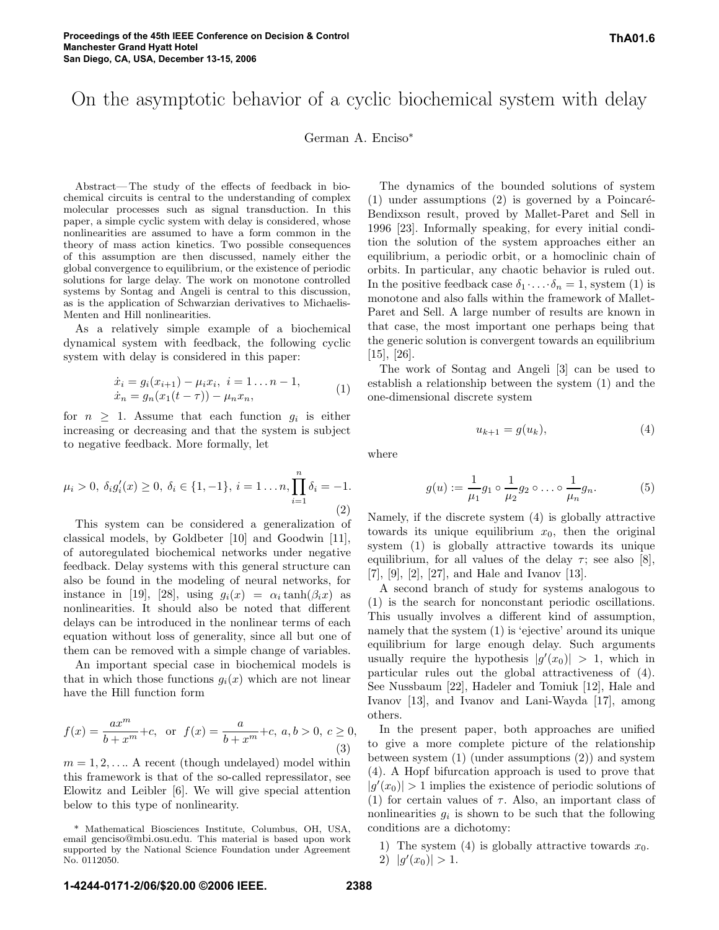# On the asymptotic behavior of a cyclic biochemical system with delay

German A. Enciso∗

Abstract— The study of the effects of feedback in biochemical circuits is central to the understanding of complex molecular processes such as signal transduction. In this paper, a simple cyclic system with delay is considered, whose nonlinearities are assumed to have a form common in the theory of mass action kinetics. Two possible consequences of this assumption are then discussed, namely either the global convergence to equilibrium, or the existence of periodic solutions for large delay. The work on monotone controlled systems by Sontag and Angeli is central to this discussion, as is the application of Schwarzian derivatives to Michaelis-Menten and Hill nonlinearities.

As a relatively simple example of a biochemical dynamical system with feedback, the following cyclic system with delay is considered in this paper:

$$
\begin{aligned} \dot{x}_i &= g_i(x_{i+1}) - \mu_i x_i, \ i = 1 \dots n - 1, \\ \dot{x}_n &= g_n(x_1(t-\tau)) - \mu_n x_n, \end{aligned} \tag{1}
$$

for  $n \geq 1$ . Assume that each function  $g_i$  is either increasing or decreasing and that the system is subject to negative feedback. More formally, let

$$
\mu_i > 0, \ \delta_i g'_i(x) \ge 0, \ \delta_i \in \{1, -1\}, \ i = 1 \dots n, \prod_{i=1}^n \delta_i = -1. \tag{2}
$$

This system can be considered a generalization of classical models, by Goldbeter [10] and Goodwin [11], of autoregulated biochemical networks under negative feedback. Delay systems with this general structure can also be found in the modeling of neural networks, for instance in [19], [28], using  $g_i(x) = \alpha_i \tanh(\beta_i x)$  as nonlinearities. It should also be noted that different delays can be introduced in the nonlinear terms of each equation without loss of generality, since all but one of them can be removed with a simple change of variables.

An important special case in biochemical models is that in which those functions  $g_i(x)$  which are not linear have the Hill function form

$$
f(x) = \frac{ax^m}{b+x^m} + c, \text{ or } f(x) = \frac{a}{b+x^m} + c, a, b > 0, c \ge 0,
$$
\n(3)

 $m = 1, 2, \ldots$  A recent (though undelayed) model within this framework is that of the so-called repressilator, see Elowitz and Leibler [6]. We will give special attention below to this type of nonlinearity.

The dynamics of the bounded solutions of system  $(1)$  under assumptions  $(2)$  is governed by a Poincaré-Bendixson result, proved by Mallet-Paret and Sell in 1996 [23]. Informally speaking, for every initial condition the solution of the system approaches either an equilibrium, a periodic orbit, or a homoclinic chain of orbits. In particular, any chaotic behavior is ruled out. In the positive feedback case  $\delta_1 \cdot \ldots \cdot \delta_n = 1$ , system (1) is monotone and also falls within the framework of Mallet-Paret and Sell. A large number of results are known in that case, the most important one perhaps being that the generic solution is convergent towards an equilibrium [15], [26].

The work of Sontag and Angeli [3] can be used to establish a relationship between the system (1) and the one-dimensional discrete system

$$
u_{k+1} = g(u_k),\tag{4}
$$

where

$$
g(u) := \frac{1}{\mu_1} g_1 \circ \frac{1}{\mu_2} g_2 \circ \dots \circ \frac{1}{\mu_n} g_n.
$$
 (5)

Namely, if the discrete system (4) is globally attractive towards its unique equilibrium  $x_0$ , then the original system (1) is globally attractive towards its unique equilibrium, for all values of the delay  $\tau$ ; see also [8], [7], [9], [2], [27], and Hale and Ivanov [13].

A second branch of study for systems analogous to (1) is the search for nonconstant periodic oscillations. This usually involves a different kind of assumption, namely that the system (1) is 'ejective' around its unique equilibrium for large enough delay. Such arguments usually require the hypothesis  $|g'(x_0)| > 1$ , which in<br>particular rules out the global attractiveness of (4) particular rules out the global attractiveness of (4). See Nussbaum [22], Hadeler and Tomiuk [12], Hale and Ivanov [13], and Ivanov and Lani-Wayda [17], among others.

In the present paper, both approaches are unified to give a more complete picture of the relationship between system (1) (under assumptions (2)) and system (4). A Hopf bifurcation approach is used to prove that  $|g'(x_0)| > 1$  implies the existence of periodic solutions of (1) for certain values of  $\tau$ . Also, an important class of (1) for certain values of  $\tau$ . Also, an important class of nonlinearities  $g_i$  is shown to be such that the following conditions are a dichotomy:

1) The system (4) is globally attractive towards  $x_0$ . 2)  $|g'(x_0)| > 1$ .

<sup>\*</sup> Mathematical Biosciences Institute, Columbus, OH, USA, email genciso@mbi.osu.edu. This material is based upon work supported by the National Science Foundation under Agreement No. 0112050.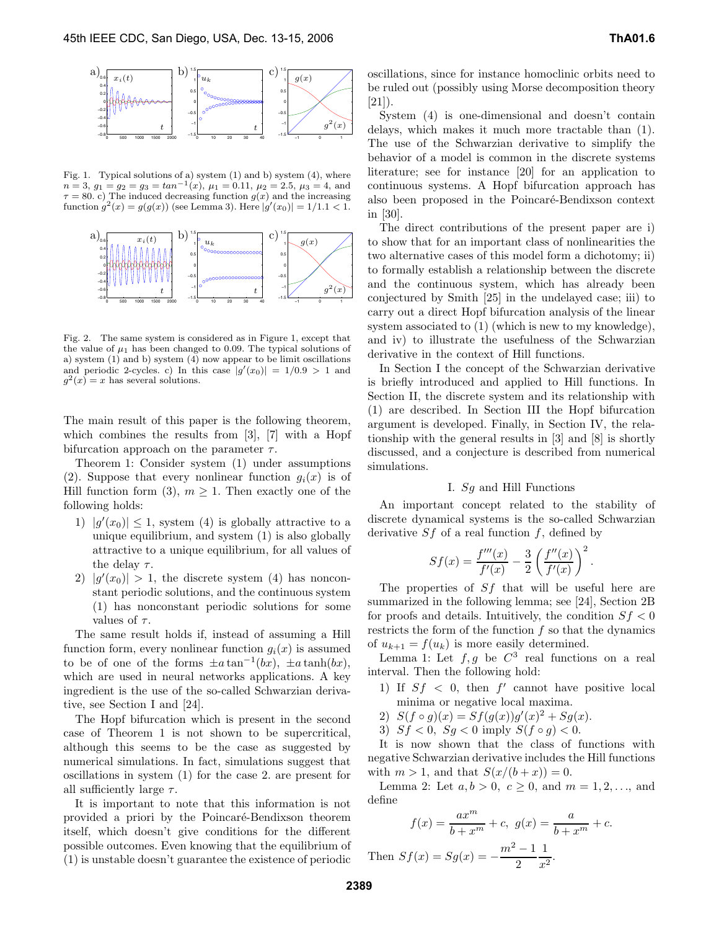

Fig. 1. Typical solutions of a) system  $(1)$  and b) system  $(4)$ , where  $n = 3, g_1 = g_2 = g_3 = \tan^{-1}(x), \mu_1 = 0.11, \mu_2 = 2.5, \mu_3 = 4, \text{ and}$  $\tau = 80$ . c) The induced decreasing function  $g(x)$  and the increasing function  $g^2(x) = g(g(x))$  (see Lemma 3). Here  $|g'(x_0)| = 1/1.1 < 1$ .



Fig. 2. The same system is considered as in Figure 1, except that the value of  $\mu_1$  has been changed to 0.09. The typical solutions of a) system (1) and b) system (4) now appear to be limit oscillations and periodic 2-cycles. c) In this case  $|g'(x_0)| = 1/0.9 > 1$  and  $g^2(x) = x$  has several solutions  $g^2(x) = x$  has several solutions.

The main result of this paper is the following theorem, which combines the results from [3], [7] with a Hopf bifurcation approach on the parameter  $\tau$ .

Theorem 1: Consider system (1) under assumptions (2). Suppose that every nonlinear function  $g_i(x)$  is of Hill function form (3),  $m \geq 1$ . Then exactly one of the following holds:

- 1)  $|g'(x_0)| \leq 1$ , system (4) is globally attractive to a unique equilibrium and system (1) is also globally unique equilibrium, and system (1) is also globally attractive to a unique equilibrium, for all values of the delay  $\tau$ .
- 2)  $|g'(x_0)| > 1$ , the discrete system (4) has noncon-<br>stant periodic solutions, and the continuous system stant periodic solutions, and the continuous system (1) has nonconstant periodic solutions for some values of  $\tau$ .

The same result holds if, instead of assuming a Hill function form, every nonlinear function  $q_i(x)$  is assumed to be of one of the forms  $\pm a \tan^{-1}(bx)$ ,  $\pm a \tanh(bx)$ , which are used in neural networks applications. A key ingredient is the use of the so-called Schwarzian derivative, see Section I and [24].

The Hopf bifurcation which is present in the second case of Theorem 1 is not shown to be supercritical, although this seems to be the case as suggested by numerical simulations. In fact, simulations suggest that oscillations in system (1) for the case 2. are present for all sufficiently large  $\tau$ .

It is important to note that this information is not provided a priori by the Poincar´e-Bendixson theorem itself, which doesn't give conditions for the different possible outcomes. Even knowing that the equilibrium of (1) is unstable doesn't guarantee the existence of periodic oscillations, since for instance homoclinic orbits need to be ruled out (possibly using Morse decomposition theory  $[21]$ ).

System (4) is one-dimensional and doesn't contain delays, which makes it much more tractable than (1). The use of the Schwarzian derivative to simplify the behavior of a model is common in the discrete systems literature; see for instance [20] for an application to continuous systems. A Hopf bifurcation approach has also been proposed in the Poincaré-Bendixson context in [30].

The direct contributions of the present paper are i) to show that for an important class of nonlinearities the two alternative cases of this model form a dichotomy; ii) to formally establish a relationship between the discrete and the continuous system, which has already been conjectured by Smith [25] in the undelayed case; iii) to carry out a direct Hopf bifurcation analysis of the linear system associated to (1) (which is new to my knowledge), and iv) to illustrate the usefulness of the Schwarzian derivative in the context of Hill functions.

In Section I the concept of the Schwarzian derivative is briefly introduced and applied to Hill functions. In Section II, the discrete system and its relationship with (1) are described. In Section III the Hopf bifurcation argument is developed. Finally, in Section IV, the relationship with the general results in [3] and [8] is shortly discussed, and a conjecture is described from numerical simulations.

## I. Sg and Hill Functions

An important concept related to the stability of discrete dynamical systems is the so-called Schwarzian derivative  $Sf$  of a real function f, defined by

$$
Sf(x) = \frac{f'''(x)}{f'(x)} - \frac{3}{2} \left( \frac{f''(x)}{f'(x)} \right)^2.
$$

The properties of  $Sf$  that will be useful here are<br>municipal in the following lemma: see [24]. Section 2B summarized in the following lemma; see [24], Section 2B for proofs and details. Intuitively, the condition  $S_f < 0$ restricts the form of the function  $f$  so that the dynamics of  $u_{k+1} = f(u_k)$  is more easily determined.

Lemma 1: Let  $f, g$  be  $C^3$  real functions on a real interval. Then the following hold:

- 1) If  $Sf \leq 0$ , then f' cannot have positive local minima or negative local maxima.
- 2)  $S(f \circ g)(x) = Sf(g(x))g'(x)^2 + Sg(x).$ <br>3)  $Sf > 0$   $Sg > 0$  imply  $S(f \circ g) > 0$
- 3)  $Sf < 0$ ,  $Sg < 0$  imply  $S(f \circ g) < 0$ .

It is now shown that the class of functions with negative Schwarzian derivative includes the Hill functions with  $m > 1$ , and that  $S(x/(b+x)) = 0$ .

Lemma 2: Let  $a, b > 0$ ,  $c \ge 0$ , and  $m = 1, 2, ...,$  and define

$$
f(x) = \frac{ax^m}{b+x^m} + c, \ g(x) = \frac{a}{b+x^m} + c.
$$
  
Then  $Sf(x) = Sg(x) = -\frac{m^2 - 1}{2} \frac{1}{x^2}.$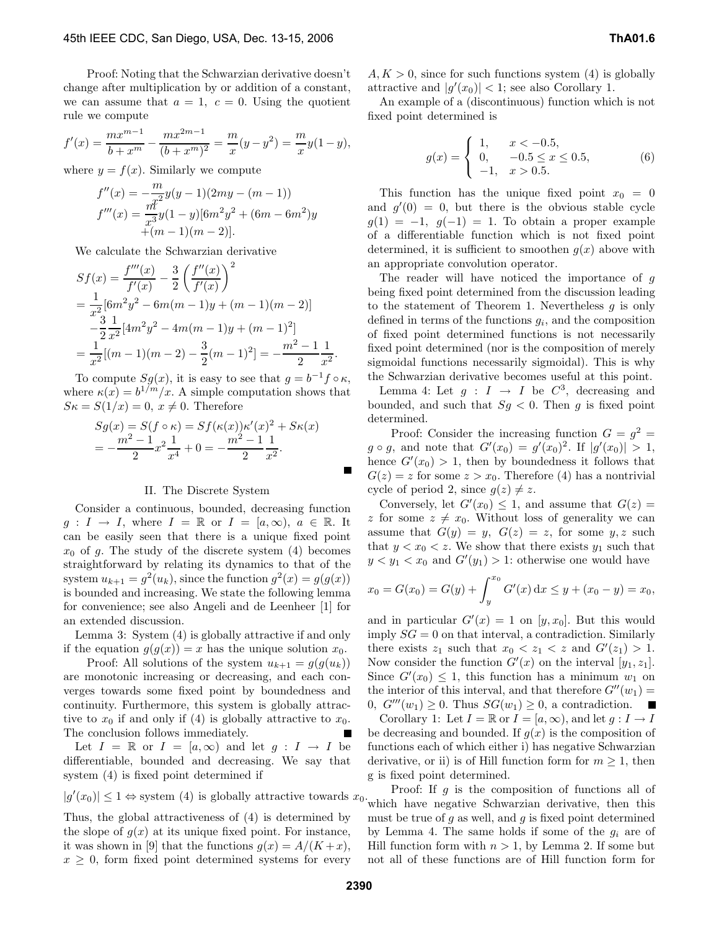Proof: Noting that the Schwarzian derivative doesn't change after multiplication by or addition of a constant, we can assume that  $a = 1, c = 0$ . Using the quotient rule we compute

$$
f'(x) = \frac{mx^{m-1}}{b+x^m} - \frac{mx^{2m-1}}{(b+x^m)^2} = \frac{m}{x}(y-y^2) = \frac{m}{x}y(1-y),
$$

where  $y = f(x)$ . Similarly we compute

$$
f''(x) = -\frac{m}{x^2}y(y-1)(2my - (m-1))
$$
  

$$
f'''(x) = \frac{m^2}{x^3}y(1-y)[6m^2y^2 + (6m - 6m^2)y
$$
  

$$
+(m-1)(m-2)].
$$

We calculate the Schwarzian derivative

$$
Sf(x) = \frac{f'''(x)}{f'(x)} - \frac{3}{2} \left(\frac{f''(x)}{f'(x)}\right)^2
$$
  
=  $\frac{1}{x^2} [6m^2 y^2 - 6m(m-1)y + (m-1)(m-2)]$   
 $-\frac{3}{2} \frac{1}{x^2} [4m^2 y^2 - 4m(m-1)y + (m-1)^2]$   
=  $\frac{1}{x^2} [(m-1)(m-2) - \frac{3}{2} (m-1)^2] = -\frac{m^2 - 1}{2} \frac{1}{x^2}.$ 

To compute  $Sg(x)$ , it is easy to see that  $g = b^{-1}f \circ \kappa$ ,<br>nere  $\kappa(x) = b^{1/m}/x$ . A simple computation shows that where  $\kappa(x) = b^{1/m}/x$ . A simple computation shows that  $S\kappa = S(1/x) = 0, x \neq 0.$  Therefore

$$
Sg(x) = S(f \circ \kappa) = Sf(\kappa(x))\kappa'(x)^2 + S\kappa(x)
$$
  
=  $-\frac{m^2 - 1}{2}x^2\frac{1}{x^4} + 0 = -\frac{m^2 - 1}{2}\frac{1}{x^2}.$ 

## II. The Discrete System

Consider a continuous, bounded, decreasing function  $g: I \to I$ , where  $I = \mathbb{R}$  or  $I = [a, \infty), a \in \mathbb{R}$ . It can be easily seen that there is a unique fixed point  $x_0$  of g. The study of the discrete system (4) becomes straightforward by relating its dynamics to that of the system  $u_{k+1} = g^2(u_k)$ , since the function  $g^2(x) = g(g(x))$ is bounded and increasing. We state the following lemma for convenience; see also Angeli and de Leenheer [1] for an extended discussion.

Lemma 3: System (4) is globally attractive if and only if the equation  $g(g(x)) = x$  has the unique solution  $x_0$ .

Proof: All solutions of the system  $u_{k+1} = g(g(u_k))$ are monotonic increasing or decreasing, and each converges towards some fixed point by boundedness and continuity. Furthermore, this system is globally attractive to  $x_0$  if and only if (4) is globally attractive to  $x_0$ . The conclusion follows immediately.

Let  $I = \mathbb{R}$  or  $I = [a, \infty)$  and let  $q : I \to I$  be differentiable, bounded and decreasing. We say that system (4) is fixed point determined if

$$
|g'(x_0)| \le 1 \Leftrightarrow
$$
 system (4) is globally attractive towards  $x_0$ .

Thus, the global attractiveness of (4) is determined by the slope of  $g(x)$  at its unique fixed point. For instance, it was shown in [9] that the functions  $g(x) = A/(K+x)$ ,  $x \geq 0$ , form fixed point determined systems for every

 $A, K > 0$ , since for such functions system (4) is globally attractive and  $|g'(x_0)| < 1$ ; see also Corollary 1.<br>An example of a (discontinuous) function which

An example of a (discontinuous) function which is not fixed point determined is

$$
g(x) = \begin{cases} 1, & x < -0.5, \\ 0, & -0.5 \le x \le 0.5, \\ -1, & x > 0.5. \end{cases}
$$
(6)

This function has the unique fixed point  $x_0 = 0$ and  $g'(0) = 0$ , but there is the obvious stable cycle<br> $g(1) = -1$ ,  $g(-1) = 1$ . To obtain a proper example  $g(1) = -1$ ,  $g(-1) = 1$ . To obtain a proper example of a differentiable function which is not fixed point determined, it is sufficient to smoothen  $g(x)$  above with an appropriate convolution operator.

The reader will have noticed the importance of g being fixed point determined from the discussion leading to the statement of Theorem 1. Nevertheless  $q$  is only defined in terms of the functions  $g_i$ , and the composition of fixed point determined functions is not necessarily fixed point determined (nor is the composition of merely sigmoidal functions necessarily sigmoidal). This is why the Schwarzian derivative becomes useful at this point.

Lemma 4: Let  $g : I \rightarrow I$  be  $C^3$ , decreasing and bounded, and such that  $Sg < 0$ . Then g is fixed point determined.

Proof: Consider the increasing function  $G = g^2$  $g \circ g$ , and note that  $G'(x_0) = g'(x_0)^2$ . If  $|g'(x_0)| > 1$ ,<br>hence  $G'(x_0) > 1$ , then by boundedness it follows that hence  $G'(x_0) > 1$ , then by boundedness it follows that  $G(x) = x$  for some  $x > x_0$ . Therefore (4) has a nontrivial  $G(z) = z$  for some  $z > x_0$ . Therefore (4) has a nontrivial cycle of period 2, since  $g(z) \neq z$ .

Conversely, let  $G'(x_0) \leq 1$ , and assume that  $G(z) =$ <br>for some  $z \neq x_0$ . Without loss of generality we can z for some  $z \neq x_0$ . Without loss of generality we can assume that  $G(y) = y$ ,  $G(z) = z$ , for some  $y, z$  such that  $y < x_0 < z$ . We show that there exists  $y_1$  such that  $y < y_1 < x_0$  and  $G'(y_1) > 1$ : otherwise one would have

$$
x_0 = G(x_0) = G(y) + \int_y^{x_0} G'(x) dx \le y + (x_0 - y) = x_0,
$$

and in particular  $G'(x) = 1$  on  $[y, x_0]$ . But this would<br>imply  $SG = 0$  on that interval a contradiction Similarly imply  $SG = 0$  on that interval, a contradiction. Similarly there exists  $z_1$  such that  $x_0 < z_1 < z$  and  $G'(z_1) > 1$ .<br>Now consider the function  $G'(x)$  on the interval  $[y, z_1]$ . Now consider the function  $G'(x)$  on the interval  $[y_1, z_1]$ .<br>Since  $G'(x_0) \leq 1$  this function has a minimum  $w_1$  on Since  $G'(x_0) \leq 1$ , this function has a minimum  $w_1$  on<br>the interior of this interval and that therefore  $G''(w_1)$ the interior of this interval, and that therefore  $G''(w_1) = 0$ ,  $G'''(w_1) > 0$ . Thus  $SG(w_1) > 0$ , a contradiction. 0,  $G'''(w_1) \geq 0$ . Thus  $SG(w_1) \geq 0$ , a contradiction.

Corollary 1: Let  $I = \mathbb{R}$  or  $I = [a, \infty)$ , and let  $g : I \to I$ be decreasing and bounded. If  $g(x)$  is the composition of functions each of which either i) has negative Schwarzian derivative, or ii) is of Hill function form for  $m \geq 1$ , then g is fixed point determined.

Proof: If g is the composition of functions all of which have negative Schwarzian derivative, then this must be true of  $q$  as well, and  $q$  is fixed point determined by Lemma 4. The same holds if some of the  $g_i$  are of Hill function form with  $n > 1$ , by Lemma 2. If some but not all of these functions are of Hill function form for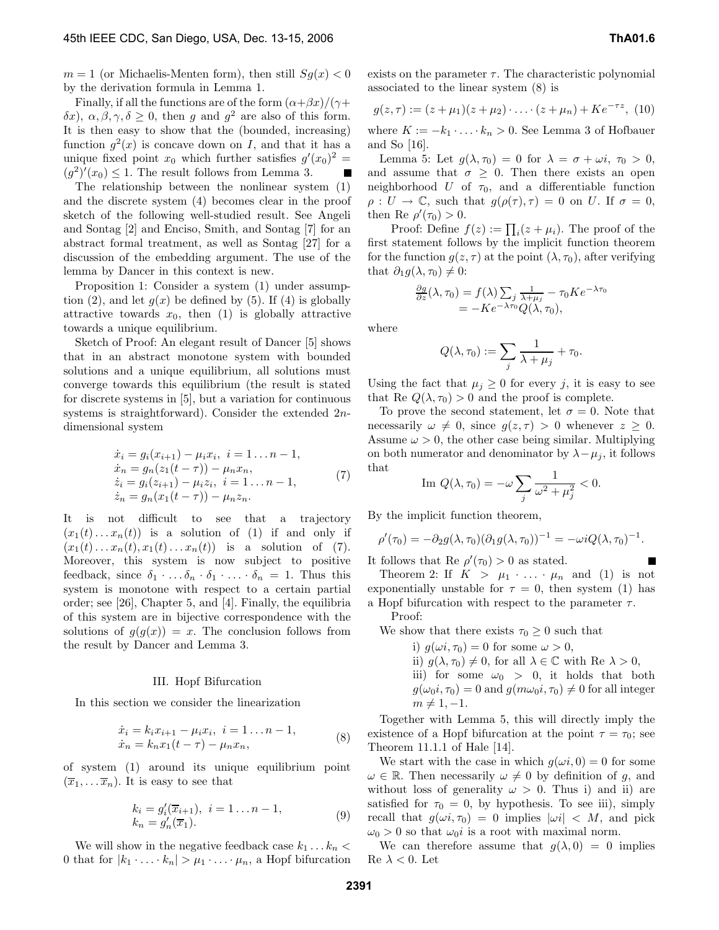$m = 1$  (or Michaelis-Menten form), then still  $Sq(x) < 0$ by the derivation formula in Lemma 1.

Finally, if all the functions are of the form  $(\alpha+\beta x)/(\gamma+\beta x)$ δx),  $\alpha$ ,  $\beta$ ,  $\gamma$ ,  $\delta \geq 0$ , then g and g<sup>2</sup> are also of this form. It is then easy to show that the (bounded, increasing) function  $q^2(x)$  is concave down on I, and that it has a unique fixed point  $x_0$  which further satisfies  $g'(x_0)^2 =$ <br> $(g^2)'(x_0) \le 1$  The result follows from Lemma 3  $(g^2)'(x_0) \leq 1$ . The result follows from Lemma 3.<br>The relationship between the nonlinear system

The relationship between the nonlinear system (1) and the discrete system (4) becomes clear in the proof sketch of the following well-studied result. See Angeli and Sontag [2] and Enciso, Smith, and Sontag [7] for an abstract formal treatment, as well as Sontag [27] for a discussion of the embedding argument. The use of the lemma by Dancer in this context is new.

Proposition 1: Consider a system (1) under assumption (2), and let  $q(x)$  be defined by (5). If (4) is globally attractive towards  $x_0$ , then (1) is globally attractive towards a unique equilibrium.

Sketch of Proof: An elegant result of Dancer [5] shows that in an abstract monotone system with bounded solutions and a unique equilibrium, all solutions must converge towards this equilibrium (the result is stated for discrete systems in [5], but a variation for continuous systems is straightforward). Consider the extended 2ndimensional system

$$
\begin{aligned}\n\dot{x}_i &= g_i(x_{i+1}) - \mu_i x_i, \ i = 1 \dots n - 1, \\
\dot{x}_n &= g_n(z_1(t-\tau)) - \mu_n x_n, \\
\dot{z}_i &= g_i(z_{i+1}) - \mu_i z_i, \ i = 1 \dots n - 1, \\
\dot{z}_n &= g_n(x_1(t-\tau)) - \mu_n z_n.\n\end{aligned} \tag{7}
$$

It is not difficult to see that a trajectory  $(x_1(t)\dots x_n(t))$  is a solution of (1) if and only if  $(x_1(t)...x_n(t), x_1(t)...x_n(t))$  is a solution of (7). Moreover, this system is now subject to positive feedback, since  $\delta_1 \cdot \ldots \delta_n \cdot \delta_1 \cdot \ldots \cdot \delta_n = 1$ . Thus this system is monotone with respect to a certain partial order; see [26], Chapter 5, and [4]. Finally, the equilibria of this system are in bijective correspondence with the solutions of  $g(g(x)) = x$ . The conclusion follows from the result by Dancer and Lemma 3.

### III. Hopf Bifurcation

In this section we consider the linearization

$$
\begin{aligned} \dot{x}_i &= k_i x_{i+1} - \mu_i x_i, \ i = 1 \dots n - 1, \\ \dot{x}_n &= k_n x_1 (t - \tau) - \mu_n x_n, \end{aligned} \tag{8}
$$

of system (1) around its unique equilibrium point  $(\overline{x}_1,\ldots \overline{x}_n)$ . It is easy to see that

$$
k_i = g'_i(\overline{x}_{i+1}), \ i = 1 \dots n - 1, k_n = g'_n(\overline{x}_1).
$$
 (9)

We will show in the negative feedback case  $k_1 \ldots k_n <$ 0 that for  $|k_1 \cdot \ldots \cdot k_n| > \mu_1 \cdot \ldots \cdot \mu_n$ , a Hopf bifurcation

$$
g(z,\tau) := (z+\mu_1)(z+\mu_2)\cdot\ldots\cdot(z+\mu_n) + Ke^{-\tau z}, (10)
$$

where  $K := -k_1 \cdot \ldots \cdot k_n > 0$ . See Lemma 3 of Hofbauer and So [16].

Lemma 5: Let  $g(\lambda, \tau_0) = 0$  for  $\lambda = \sigma + \omega i$ ,  $\tau_0 > 0$ , and assume that  $\sigma \geq 0$ . Then there exists an open neighborhood U of  $\tau_0$ , and a differentiable function  $\rho: U \to \mathbb{C}$ , such that  $g(\rho(\tau), \tau) = 0$  on U. If  $\sigma = 0$ , then Re  $\rho'(\tau_0) > 0$ .<br>Proof: Define

Proof: Define  $f(z) := \prod_i (z + \mu_i)$ . The proof of the statement follows by the implicit function theorem first statement follows by the implicit function theorem for the function  $g(z, \tau)$  at the point  $(\lambda, \tau_0)$ , after verifying that  $\partial_1 g(\lambda, \tau_0) \neq 0$ :

$$
\frac{\partial g}{\partial z}(\lambda, \tau_0) = f(\lambda) \sum_j \frac{1}{\lambda + \mu_j} - \tau_0 K e^{-\lambda \tau_0}
$$
  
=  $-K e^{-\lambda \tau_0} Q(\lambda, \tau_0),$ 

where

$$
Q(\lambda, \tau_0) := \sum_j \frac{1}{\lambda + \mu_j} + \tau_0.
$$

Using the fact that  $\mu_j \geq 0$  for every j, it is easy to see that Re  $Q(\lambda, \tau_0) > 0$  and the proof is complete.

To prove the second statement, let  $\sigma = 0$ . Note that necessarily  $\omega \neq 0$ , since  $g(z, \tau) > 0$  whenever  $z \geq 0$ . Assume  $\omega > 0$ , the other case being similar. Multiplying on both numerator and denominator by  $\lambda - \mu_i$ , it follows that

Im 
$$
Q(\lambda, \tau_0) = -\omega \sum_j \frac{1}{\omega^2 + \mu_j^2} < 0.
$$

By the implicit function theorem,

 $\rho'(\tau_0) = -\partial_2 g(\lambda, \tau_0) (\partial_1 g(\lambda, \tau_0))^{-1} = -\omega i Q(\lambda, \tau_0)^{-1}$ 

It follows that Re  $\rho'(\tau_0) > 0$  as stated.<br>Theorem 2: If  $K > \mu_1$ ,  $\ldots$ 

Theorem 2: If  $K > \mu_1 \cdot \ldots \cdot \mu_n$  and (1) is not exponentially unstable for  $\tau = 0$ , then system (1) has a Hopf bifurcation with respect to the parameter  $\tau$ . Proof:

We show that there exists  $\tau_0 \geq 0$  such that

- i)  $q(\omega i, \tau_0) = 0$  for some  $\omega > 0$ ,
- ii)  $g(\lambda, \tau_0) \neq 0$ , for all  $\lambda \in \mathbb{C}$  with Re  $\lambda > 0$ , iii) for some  $\omega_0 > 0$ , it holds that both
- $g(\omega_0 i, \tau_0) = 0$  and  $g(m\omega_0 i, \tau_0) \neq 0$  for all integer  $m \neq 1, -1.$

Together with Lemma 5, this will directly imply the existence of a Hopf bifurcation at the point  $\tau = \tau_0$ ; see Theorem 11.1.1 of Hale [14].

We start with the case in which  $g(\omega i, 0) = 0$  for some  $\omega \in \mathbb{R}$ . Then necessarily  $\omega \neq 0$  by definition of g, and without loss of generality  $\omega > 0$ . Thus i) and ii) are satisfied for  $\tau_0 = 0$ , by hypothesis. To see iii), simply recall that  $g(\omega i, \tau_0) = 0$  implies  $|\omega i| < M$ , and pick  $\omega_0 > 0$  so that  $\omega_0 i$  is a root with maximal norm.

We can therefore assume that  $g(\lambda, 0) = 0$  implies  $\text{Re } \lambda < 0.$  Let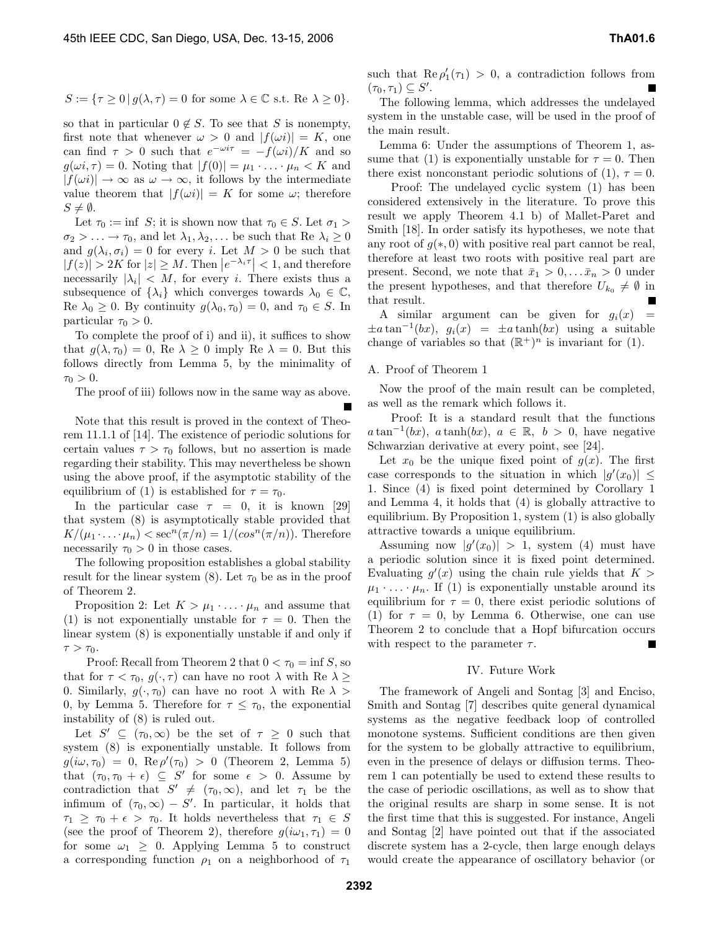$$
S := \{ \tau \ge 0 \, | \, g(\lambda, \tau) = 0 \text{ for some } \lambda \in \mathbb{C} \text{ s.t. } \text{Re } \lambda \ge 0 \}.
$$

so that in particular  $0 \notin S$ . To see that S is nonempty, first note that whenever  $\omega > 0$  and  $|f(\omega i)| = K$ , one can find  $\tau > 0$  such that  $e^{-\omega i \tau} = -f(\omega i)/K$  and so  $g(\omega i, \tau) = 0$ . Noting that  $|f(0)| = \mu_1 \cdot \ldots \cdot \mu_n \lt K$  and  $|f(\omega i)| \to \infty$  as  $\omega \to \infty$ , it follows by the intermediate value theorem that  $|f(\omega i)| = K$  for some  $\omega$ ; therefore  $S \neq \emptyset$ .

Let  $\tau_0 := \inf S$ ; it is shown now that  $\tau_0 \in S$ . Let  $\sigma_1 >$  $\sigma_2 > \ldots \to \tau_0$ , and let  $\lambda_1, \lambda_2, \ldots$  be such that Re  $\lambda_i \geq 0$ and  $g(\lambda_i, \sigma_i) = 0$  for every i. Let  $M > 0$  be such that  $|f(z)| > 2K$  for  $|z| \ge M$ . Then  $|e^{-\lambda_i \tau}| < 1$ , and therefore necessarily  $|\lambda_i| < M$ , for every *i*. There exists thus a subsequence of  $\{\lambda_i\}$  which converges towards  $\lambda_0 \in \mathbb{C}$ , Re  $\lambda_0 \geq 0$ . By continuity  $g(\lambda_0, \tau_0) = 0$ , and  $\tau_0 \in S$ . In particular  $\tau_0 > 0$ .

To complete the proof of i) and ii), it suffices to show that  $g(\lambda, \tau_0) = 0$ , Re  $\lambda \geq 0$  imply Re  $\lambda = 0$ . But this follows directly from Lemma 5, by the minimality of  $\tau_0 > 0$ .

The proof of iii) follows now in the same way as above.

Note that this result is proved in the context of Theorem 11.1.1 of [14]. The existence of periodic solutions for certain values  $\tau > \tau_0$  follows, but no assertion is made regarding their stability. This may nevertheless be shown using the above proof, if the asymptotic stability of the equilibrium of (1) is established for  $\tau = \tau_0$ .

In the particular case  $\tau = 0$ , it is known [29] that system (8) is asymptotically stable provided that  $K/(\mu_1 \cdot \ldots \cdot \mu_n) < \sec^n(\pi/n) = 1/(\cos^n(\pi/n))$ . Therefore necessarily  $\tau_0 > 0$  in those cases.

The following proposition establishes a global stability result for the linear system (8). Let  $\tau_0$  be as in the proof of Theorem 2.

Proposition 2: Let  $K > \mu_1 \cdot \ldots \cdot \mu_n$  and assume that (1) is not exponentially unstable for  $\tau = 0$ . Then the linear system (8) is exponentially unstable if and only if  $\tau > \tau_0$ .

Proof: Recall from Theorem 2 that  $0 < \tau_0 = \inf S$ , so that for  $\tau < \tau_0$ ,  $g(\cdot, \tau)$  can have no root  $\lambda$  with Re  $\lambda \ge$ 0. Similarly,  $q(\cdot, \tau_0)$  can have no root  $\lambda$  with Re  $\lambda >$ 0, by Lemma 5. Therefore for  $\tau \leq \tau_0$ , the exponential instability of (8) is ruled out.

Let  $S' \subseteq (\tau_0, \infty)$  be the set of  $\tau \geq 0$  such that system (8) is exponentially unstable. It follows from  $g(i\omega, \tau_0) = 0$ ,  $\text{Re}\,\rho'(\tau_0) > 0$  (Theorem 2, Lemma 5)<br>that  $(\tau_0, \tau_0 + \epsilon) \subset S'$  for some  $\epsilon > 0$  assume by that  $(\tau_0, \tau_0 + \epsilon) \subseteq S'$  for some  $\epsilon > 0$ . Assume by contradiction that  $S' \neq (\tau_0, \infty)$ , and let  $\tau_1$  be the infimum of  $(\tau_0, \infty) - S'$ . In particular, it holds that<br> $\tau_1 \geq \tau_2 + \epsilon \geq \tau_3$ . It holds nevertheless that  $\tau_1 \in S$  $\tau_1 \geq \tau_0 + \epsilon > \tau_0$ . It holds nevertheless that  $\tau_1 \in S$ (see the proof of Theorem 2), therefore  $g(i\omega_1, \tau_1)=0$ for some  $\omega_1 \geq 0$ . Applying Lemma 5 to construct a corresponding function  $\rho_1$  on a neighborhood of  $\tau_1$ 

such that  $\text{Re } \rho'_1(\tau_1) > 0$ , a contradiction follows from  $(\tau_0, \tau_1) \subseteq S'.$ <br>The follow

The following lemma, which addresses the undelayed system in the unstable case, will be used in the proof of the main result.

Lemma 6: Under the assumptions of Theorem 1, assume that (1) is exponentially unstable for  $\tau = 0$ . Then there exist nonconstant periodic solutions of (1),  $\tau = 0$ .

Proof: The undelayed cyclic system (1) has been considered extensively in the literature. To prove this result we apply Theorem 4.1 b) of Mallet-Paret and Smith [18]. In order satisfy its hypotheses, we note that any root of  $g(*, 0)$  with positive real part cannot be real, therefore at least two roots with positive real part are present. Second, we note that  $\bar{x}_1 > 0, \ldots, \bar{x}_n > 0$  under the present hypotheses, and that therefore  $U_{k_0} \neq \emptyset$  in that result.

A similar argument can be given for  $g_i(x)$  =  $\pm a \tan^{-1}(bx)$ ,  $g_i(x) = \pm a \tanh(bx)$  using a suitable change of variables so that  $(\mathbb{R}^+)^n$  is invariant for (1).

## A. Proof of Theorem 1

Now the proof of the main result can be completed, as well as the remark which follows it.

Proof: It is a standard result that the functions  $a \tan^{-1}(bx)$ ,  $a \tanh(bx)$ ,  $a \in \mathbb{R}$ ,  $b > 0$ , have negative Schwarzian derivative at every point, see [24].

Let  $x_0$  be the unique fixed point of  $q(x)$ . The first case corresponds to the situation in which  $|g'(x_0)| \le$ <br>1. Since (4) is fixed point determined by Corollary 1. 1. Since (4) is fixed point determined by Corollary 1 and Lemma 4, it holds that (4) is globally attractive to equilibrium. By Proposition 1, system (1) is also globally attractive towards a unique equilibrium.

Assuming now  $|g'(x_0)| > 1$ , system (4) must have<br>periodic solution since it is fixed point determined a periodic solution since it is fixed point determined. Evaluating  $g'(x)$  using the chain rule yields that  $K >$ <br> $u_1, \ldots, u_n$ . If (1) is exponentially unstable around its  $\mu_1 \cdot \ldots \cdot \mu_n$ . If (1) is exponentially unstable around its equilibrium for  $\tau = 0$ , there exist periodic solutions of (1) for  $\tau = 0$ , by Lemma 6. Otherwise, one can use Theorem 2 to conclude that a Hopf bifurcation occurs with respect to the parameter  $\tau$ .  $\blacksquare$ 

## IV. Future Work

The framework of Angeli and Sontag [3] and Enciso, Smith and Sontag [7] describes quite general dynamical systems as the negative feedback loop of controlled monotone systems. Sufficient conditions are then given for the system to be globally attractive to equilibrium, even in the presence of delays or diffusion terms. Theorem 1 can potentially be used to extend these results to the case of periodic oscillations, as well as to show that the original results are sharp in some sense. It is not the first time that this is suggested. For instance, Angeli and Sontag [2] have pointed out that if the associated discrete system has a 2-cycle, then large enough delays would create the appearance of oscillatory behavior (or